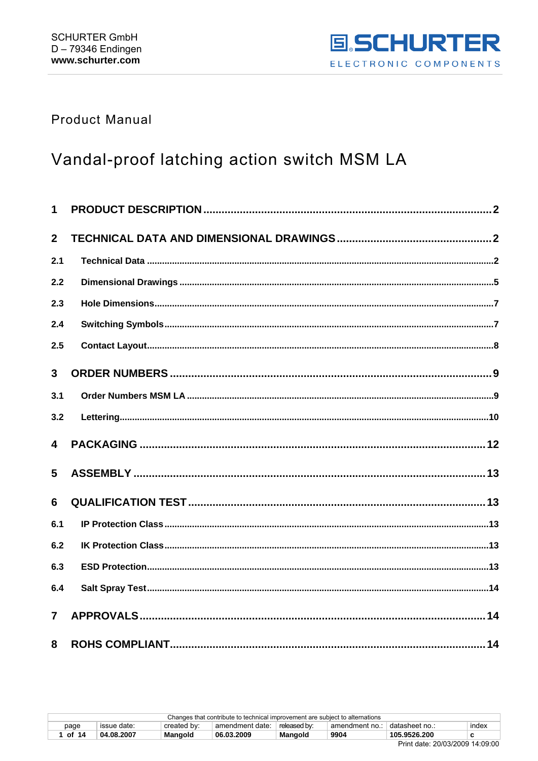

## **Product Manual**

# Vandal-proof latching action switch MSM LA

| $\mathbf 1$    |  |
|----------------|--|
| $\overline{2}$ |  |
| 2.1            |  |
| 2.2            |  |
| 2.3            |  |
| 2.4            |  |
| 2.5            |  |
| 3              |  |
| 3.1            |  |
| 3.2            |  |
| 4              |  |
| 5              |  |
| 6              |  |
| 6.1            |  |
| 6.2            |  |
| 6.3            |  |
| 6.4            |  |
| $\overline{7}$ |  |
| 8              |  |

| ----------<br>_                                                              |             |             |                 |              |                |                |       |  |
|------------------------------------------------------------------------------|-------------|-------------|-----------------|--------------|----------------|----------------|-------|--|
| of 14                                                                        | 04.08.2007  | Mangold     | 06.03.2009      | Mangold      | 9904           | 105.9526.200   |       |  |
| page                                                                         | issue date: | created by: | amendment date: | released by: | amendment no.: | ≒datasheet no… | index |  |
| Changes that contribute to technical improvement are subject to alternations |             |             |                 |              |                |                |       |  |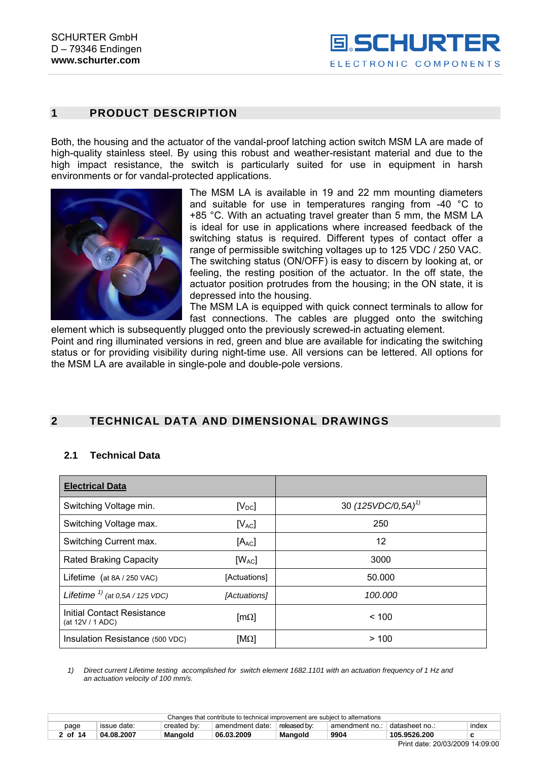## <span id="page-1-0"></span>**1 PRODUCT DESCRIPTION**

Both, the housing and the actuator of the vandal-proof latching action switch MSM LA are made of high-quality stainless steel. By using this robust and weather-resistant material and due to the high impact resistance, the switch is particularly suited for use in equipment in harsh environments or for vandal-protected applications.



The MSM LA is available in 19 and 22 mm mounting diameters and suitable for use in temperatures ranging from -40 °C to +85 °C. With an actuating travel greater than 5 mm, the MSM LA is ideal for use in applications where increased feedback of the switching status is required. Different types of contact offer a range of permissible switching voltages up to 125 VDC / 250 VAC. The switching status (ON/OFF) is easy to discern by looking at, or feeling, the resting position of the actuator. In the off state, the actuator position protrudes from the housing; in the ON state, it is depressed into the housing.

The MSM LA is equipped with quick connect terminals to allow for fast connections. The cables are plugged onto the switching element which is subsequently plugged onto the previously screwed-in actuating element.

Point and ring illuminated versions in red, green and blue are available for indicating the switching status or for providing visibility during night-time use. All versions can be lettered. All options for the MSM LA are available in single-pole and double-pole versions.

## **2 TECHNICAL DATA AND DIMENSIONAL DRAWINGS**

### **2.1 Technical Data**

| <b>Electrical Data</b>                         |                         |                         |
|------------------------------------------------|-------------------------|-------------------------|
| Switching Voltage min.                         | $[V_{DC}]$              | 30 $(125VDC/0, 5A)^{1}$ |
| Switching Voltage max.                         | $[V_{AC}]$              | 250                     |
| Switching Current max.                         | $[A_{AC}]$              | 12                      |
| <b>Rated Braking Capacity</b>                  | $[W_{AC}]$              | 3000                    |
| Lifetime (at 8A / 250 VAC)                     | [Actuations]            | 50.000                  |
| Lifetime $1/2$ (at 0,5A / 125 VDC)             | [Actuations]            | 100.000                 |
| Initial Contact Resistance<br>(at 12V / 1 ADC) | $\lceil m\Omega \rceil$ | < 100                   |
| Insulation Resistance (500 VDC)                | $[M\Omega]$             | >100                    |

*1) Direct current Lifetime testing accomplished for switch element 1682.1101 with an actuation frequency of 1 Hz and an actuation velocity of 100 mm/s.* 

| Changes that contribute to technical improvement are subject to alternations                                       |            |                |            |         |      |                                 |  |  |
|--------------------------------------------------------------------------------------------------------------------|------------|----------------|------------|---------|------|---------------------------------|--|--|
| created by:<br>released by:<br>amendment date:<br>datasheet no.∶<br>issue date:<br>index<br>amendment no.:<br>page |            |                |            |         |      |                                 |  |  |
| 2 of 14                                                                                                            | 04.08.2007 | <b>Mangold</b> | 06.03.2009 | Mangold | 9904 | 105.9526.200                    |  |  |
|                                                                                                                    |            |                |            |         |      | Print date: 20/03/2009 14:09:00 |  |  |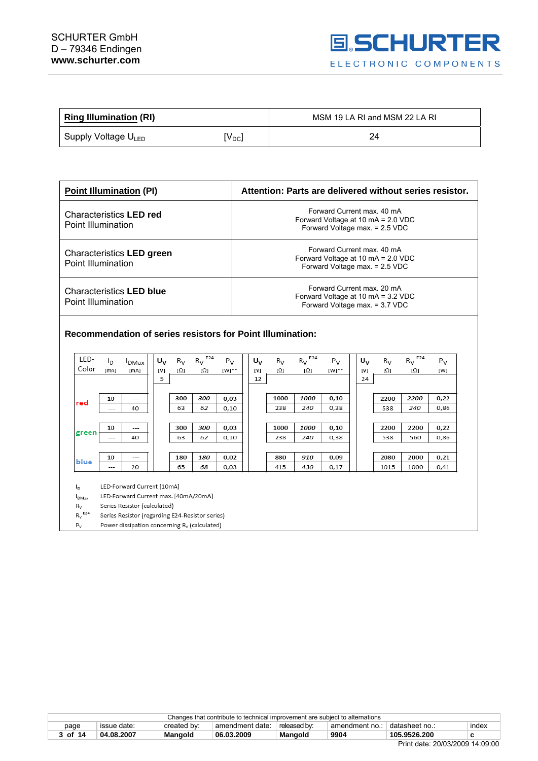## SCHURTER GmbH D – 79346 Endingen **www.schurter.com**



| <b>Ring Illumination (RI)</b>   |                   | MSM 19 LA RI and MSM 22 LA RI |  |  |
|---------------------------------|-------------------|-------------------------------|--|--|
| Supply Voltage U <sub>LED</sub> | $V_{\mathsf{DC}}$ | 24                            |  |  |

| <b>Point Illumination (PI)</b>                        | Attention: Parts are delivered without series resistor.                                            |
|-------------------------------------------------------|----------------------------------------------------------------------------------------------------|
| Characteristics LED red<br>Point Illumination         | Forward Current max, 40 mA<br>Forward Voltage at 10 mA = 2.0 VDC<br>Forward Voltage max. = 2.5 VDC |
| Characteristics LED green<br>Point Illumination       | Forward Current max, 40 mA<br>Forward Voltage at 10 mA = 2.0 VDC<br>Forward Voltage max. = 2.5 VDC |
| <b>Characteristics LED blue</b><br>Point Illumination | Forward Current max, 20 mA<br>Forward Voltage at 10 mA = 3.2 VDC<br>Forward Voltage max. = 3.7 VDC |

**Recommendation of series resistors for Point Illumination:** 

| LED-                 | Ιŋ                                              | <sup>I</sup> DMax                                        | U <sub>V</sub> | $R_V$ | E24<br>$R_V$ | $P_V$ | U <sub>V</sub> | $R_V$ | E24<br>$R_V$ | $P_V$ | $U_V$ | $R_V$ | E24<br>$R_V$ | $P_V$ |
|----------------------|-------------------------------------------------|----------------------------------------------------------|----------------|-------|--------------|-------|----------------|-------|--------------|-------|-------|-------|--------------|-------|
| Color                | [mA]                                            | [mA]                                                     | [V]            | [Ω]   | [Ω]          | [W]** | [V]            | [Ω]   | [Ω]          | [W]** | [V]   | [Ω]   | [Ω]          | [W]   |
|                      |                                                 |                                                          | 5              |       |              |       | 12             |       |              |       | 24    |       |              |       |
|                      |                                                 |                                                          |                |       |              |       |                |       |              |       |       |       |              |       |
| red                  | 10                                              | $---$                                                    |                | 300   | 300          | 0,03  |                | 1000  | 1000         | 0,10  |       | 2200  | 2200         | 0,22  |
|                      | ---                                             | 40                                                       |                | 63    | 62           | 0,10  |                | 238   | 240          | 0,38  |       | 538   | 240          | 0,86  |
|                      |                                                 |                                                          |                |       |              |       |                |       |              |       |       |       |              |       |
|                      | 10                                              | $- - -$                                                  |                | 300   | 300          | 0,03  |                | 1000  | 1000         | 0,10  |       | 2200  | 2200         | 0,22  |
| green                | ---                                             | 40                                                       |                | 63    | 62           | 0,10  |                | 238   | 240          | 0,38  |       | 538   | 560          | 0,86  |
|                      |                                                 |                                                          |                |       |              |       |                |       |              |       |       |       |              |       |
| blue                 | 10                                              | $---$                                                    |                | 180   | 180          | 0,02  |                | 880   | 910          | 0,09  |       | 2080  | 2000         | 0,21  |
|                      | ---                                             | 20                                                       |                | 65    | 68           | 0,03  |                | 415   | 430          | 0,17  |       | 1015  | 1000         | 0,41  |
|                      |                                                 |                                                          |                |       |              |       |                |       |              |       |       |       |              |       |
| ı.                   | LED-Forward Current [10mA]                      |                                                          |                |       |              |       |                |       |              |       |       |       |              |       |
| $I_{DMax}$           | LED-Forward Current max. [40mA/20mA]            |                                                          |                |       |              |       |                |       |              |       |       |       |              |       |
| $R_V$                | Series Resistor (calculated)                    |                                                          |                |       |              |       |                |       |              |       |       |       |              |       |
| $R_V$ <sup>E24</sup> | Series Resistor (regarding E24-Resistor series) |                                                          |                |       |              |       |                |       |              |       |       |       |              |       |
| $P_V$                |                                                 | Power dissipation concerning R <sub>v</sub> (calculated) |                |       |              |       |                |       |              |       |       |       |              |       |

| Changes that contribute to technical improvement are subject to alternations |                       |             |                 |              |              |                |       |  |
|------------------------------------------------------------------------------|-----------------------|-------------|-----------------|--------------|--------------|----------------|-------|--|
| page                                                                         | issue date:           | created by: | amendment date: | released by: | amendment no | + datasheet no | index |  |
| 3 of 14                                                                      | 04.08.2007            | Mangold     | 06.03.2009      | Mangold      | 9904         | 105.9526.200   |       |  |
|                                                                              | ----------------<br>_ |             |                 |              |              |                |       |  |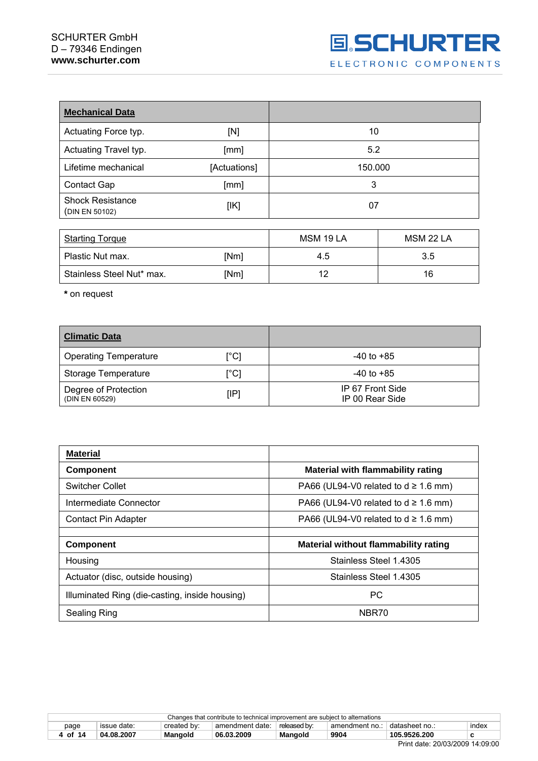## SCHURTER GmbH D – 79346 Endingen **www.schurter.com**

| <b>Mechanical Data</b>                    |              |                   |                      |
|-------------------------------------------|--------------|-------------------|----------------------|
| Actuating Force typ.                      | [N]          | 10                |                      |
| Actuating Travel typ.                     | [mm]         | 5.2               |                      |
| Lifetime mechanical                       | [Actuations] | 150.000           |                      |
| Contact Gap                               | [mm]         | 3                 |                      |
| <b>Shock Resistance</b><br>(DIN EN 50102) | [IK]         | 07                |                      |
| $\sim$ $\sim$ $\sim$ $\sim$               |              | <b>AIOMA JOIA</b> | <b>ALONE OO L.A.</b> |

| <b>Starting Torque</b>    |      | MSM 19 LA | MSM 22 LA |
|---------------------------|------|-----------|-----------|
| Plastic Nut max.          | [Nm] | 4.5       | 3.5       |
| Stainless Steel Nut* max. | [Nm] |           | 16        |

**\*** on request

| <b>Climatic Data</b>                   |                           |                                     |
|----------------------------------------|---------------------------|-------------------------------------|
| <b>Operating Temperature</b>           | $\lceil{^{\circ}C}\rceil$ | $-40$ to $+85$                      |
| Storage Temperature                    | $\lceil{^{\circ}C}\rceil$ | $-40$ to $+85$                      |
| Degree of Protection<br>(DIN EN 60529) | [IP]                      | IP 67 Front Side<br>IP 00 Rear Side |

| <b>Material</b>                                |                                             |
|------------------------------------------------|---------------------------------------------|
| <b>Component</b>                               | <b>Material with flammability rating</b>    |
| <b>Switcher Collet</b>                         | PA66 (UL94-V0 related to $d \ge 1.6$ mm)    |
| Intermediate Connector                         | PA66 (UL94-V0 related to $d \ge 1.6$ mm)    |
| Contact Pin Adapter                            | PA66 (UL94-V0 related to $d \ge 1.6$ mm)    |
|                                                |                                             |
| <b>Component</b>                               | <b>Material without flammability rating</b> |
| Housing                                        | Stainless Steel 1.4305                      |
| Actuator (disc, outside housing)               | Stainless Steel 1.4305                      |
| Illuminated Ring (die-casting, inside housing) | <b>PC</b>                                   |
| Sealing Ring                                   | NBR70                                       |

|         |             |             | Changes that contribute to technical improvement are subject to alternations |              |                |                |       |
|---------|-------------|-------------|------------------------------------------------------------------------------|--------------|----------------|----------------|-------|
| page    | issue date: | created by: | amendment date:                                                              | released by: | amendment no.: | datasheet no.: | index |
| 4 of 14 | 04.08.2007  | Mangold     | 06.03.2009                                                                   | Mangold      | 9904           | 105.9526.200   |       |
|         |             |             |                                                                              |              |                | $ -$           |       |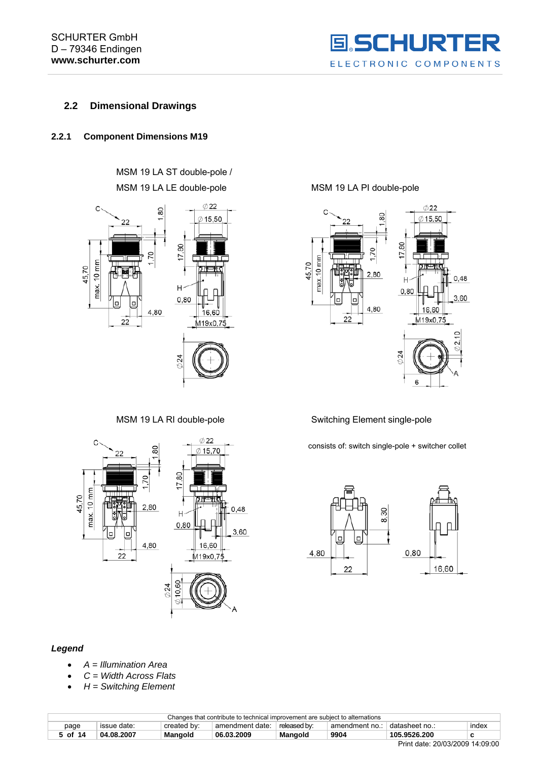

## <span id="page-4-0"></span>**2.2 Dimensional Drawings**

## **2.2.1 Component Dimensions M19**

MSM 19 LA ST double-pole / MSM 19 LA LE double-pole MSM 19 LA PI double-pole





#### *Legend*

- *A = Illumination Area*
- *C = Width Across Flats*
- *H = Switching Element*



### MSM 19 LA RI double-pole Switching Element single-pole

consists of: switch single-pole + switcher collet



| Changes that contribute to technical improvement are subject to alternations |             |             |                 |                |                |                                |       |
|------------------------------------------------------------------------------|-------------|-------------|-----------------|----------------|----------------|--------------------------------|-------|
| page                                                                         | issue date: | created by: | amendment date: | released by:   | amendment no.: | datasheet no∴                  | index |
| 5 of 14                                                                      | 04.08.2007  | Mangold     | 06.03.2009      | <b>Mangold</b> | 9904           | 105.9526.200                   |       |
|                                                                              |             |             |                 |                |                | Drive deta 00/00/0000 44:00:00 |       |

Print date: 20/03/2009 14:09:00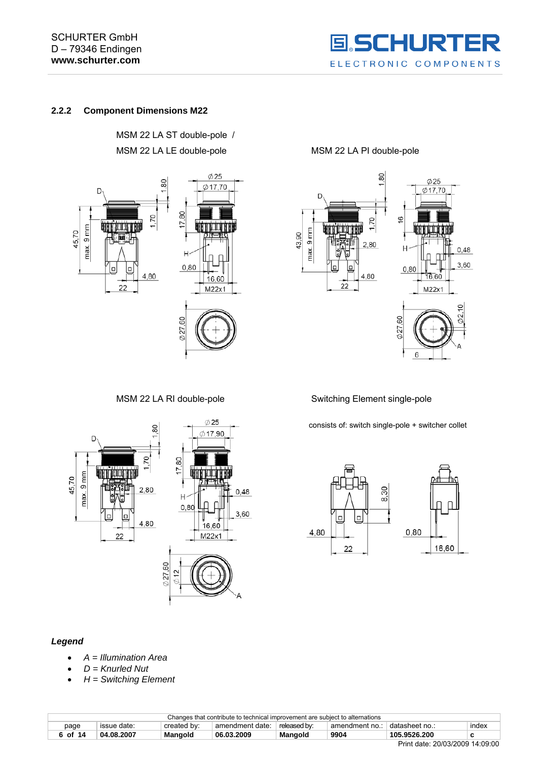## SCHURTER GmbH D – 79346 Endingen **www.schurter.com**



## **2.2.2 Component Dimensions M22**

MSM 22 LA ST double-pole / MSM 22 LA LE double-pole MSM 22 LA PI double-pole





MSM 22 LA RI double-pole Switching Element single-pole

consists of: switch single-pole + switcher collet





#### *Legend*

- *A = Illumination Area*
- *D = Knurled Nut*
- *H = Switching Element*

| Changes that contribute to technical improvement are subject to alternations |             |             |                 |              |                |                                 |       |
|------------------------------------------------------------------------------|-------------|-------------|-----------------|--------------|----------------|---------------------------------|-------|
| page                                                                         | issue date: | created by: | amendment date: | released by: | amendment no.: | ⊟datasheet no.:                 | index |
| 6 of 14                                                                      | 04.08.2007  | Mangold     | 06.03.2009      | Mangold      | 9904           | 105.9526.200                    |       |
|                                                                              |             |             |                 |              |                | Print date: 20/03/2009 14:09:00 |       |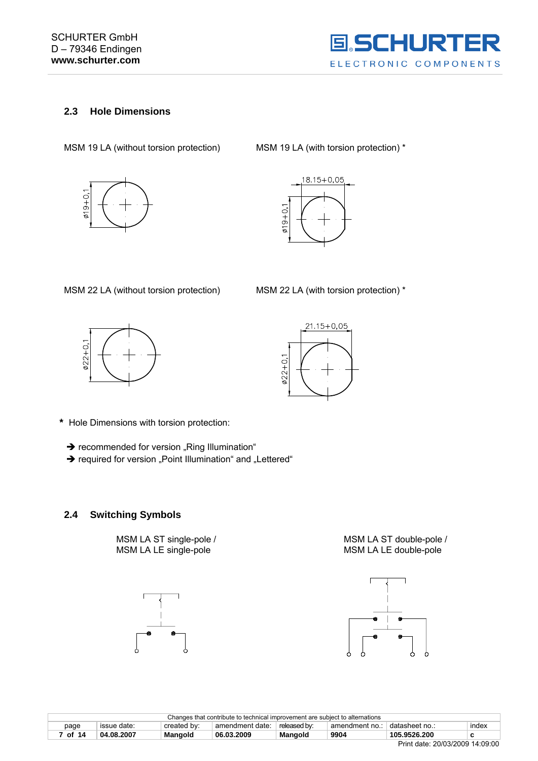

## <span id="page-6-0"></span>**2.3 Hole Dimensions**

MSM 19 LA (without torsion protection) MSM 19 LA (with torsion protection) \*





MSM 22 LA (without torsion protection) MSM 22 LA (with torsion protection) \*





- **\*** Hole Dimensions with torsion protection:
	- $\rightarrow$  recommended for version "Ring Illumination"
	- $\rightarrow$  required for version "Point Illumination" and "Lettered"

## **2.4 Switching Symbols**







| Changes that contribute to technical improvement are subject to alternations |             |             |                 |              |                |                                 |       |
|------------------------------------------------------------------------------|-------------|-------------|-----------------|--------------|----------------|---------------------------------|-------|
| page                                                                         | issue date: | created by: | amendment date: | released by: | amendment no.: | datasheet no.:                  | index |
| of 14                                                                        | 04.08.2007  | Mangold     | 06.03.2009      | Mangold      | 9904           | 105.9526.200                    |       |
|                                                                              |             |             |                 |              |                | Print date: 20/03/2009 14:09:00 |       |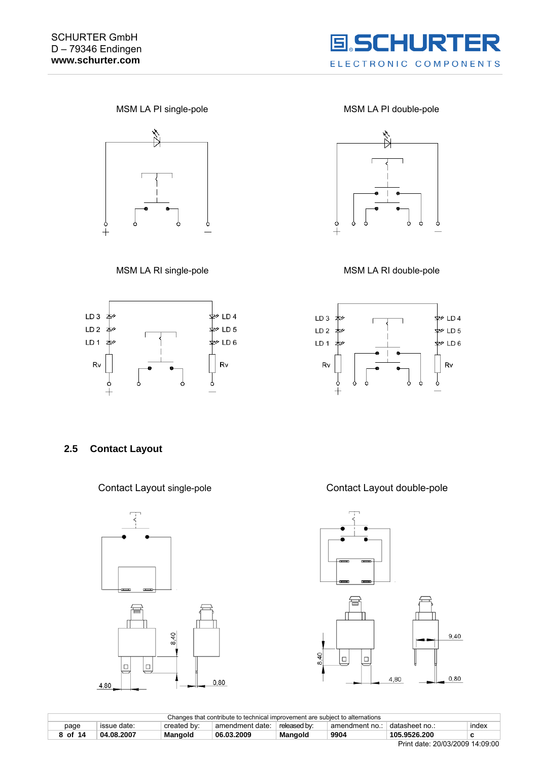

<span id="page-7-0"></span>



MSM LA PI single-pole MSM LA PI double-pole







### **2.5 Contact Layout**



Contact Layout single-pole Contact Layout double-pole





| Changes that contribute to technical improvement are subject to alternations |             |             |                 |                |                |                             |       |
|------------------------------------------------------------------------------|-------------|-------------|-----------------|----------------|----------------|-----------------------------|-------|
| page                                                                         | issue date: | created by: | amendment date: | released by:   | amendment no.: | adatasheet no.              | index |
| of 14                                                                        | 04.08.2007  | Mangold     | 06.03.2009      | <b>Mangold</b> | 9904           | 105.9526.200                |       |
|                                                                              |             |             |                 |                |                | P: I I I. 20100100001110000 |       |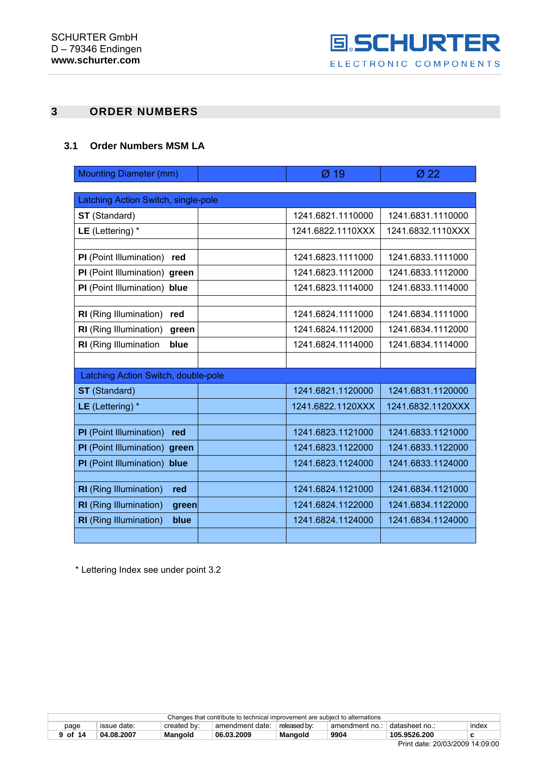

## <span id="page-8-0"></span>**3 ORDER NUMBERS**

## **3.1 Order Numbers MSM LA**

| <b>Mounting Diameter (mm)</b>          | $Ø$ 19            | Ø22               |
|----------------------------------------|-------------------|-------------------|
|                                        |                   |                   |
| Latching Action Switch, single-pole    |                   |                   |
| <b>ST</b> (Standard)                   | 1241.6821.1110000 | 1241.6831.1110000 |
| LE (Lettering) $*$                     | 1241.6822.1110XXX | 1241.6832.1110XXX |
|                                        |                   |                   |
| PI (Point Illumination)<br>red         | 1241.6823.1111000 | 1241.6833.1111000 |
| PI (Point Illumination) green          | 1241.6823.1112000 | 1241.6833.1112000 |
| PI (Point Illumination)<br>blue        | 1241.6823.1114000 | 1241.6833.1114000 |
|                                        |                   |                   |
| RI (Ring Illumination)<br>red          | 1241.6824.1111000 | 1241.6834.1111000 |
| RI (Ring Illumination)<br>green        | 1241.6824.1112000 | 1241.6834.1112000 |
| RI (Ring Illumination<br>blue          | 1241.6824.1114000 | 1241.6834.1114000 |
|                                        |                   |                   |
| Latching Action Switch, double-pole    |                   |                   |
| <b>ST</b> (Standard)                   | 1241.6821.1120000 | 1241.6831.1120000 |
| LE (Lettering) $*$                     | 1241.6822.1120XXX | 1241.6832.1120XXX |
|                                        |                   |                   |
| PI (Point Illumination)<br>red         | 1241.6823.1121000 | 1241.6833.1121000 |
| PI (Point Illumination) green          | 1241.6823.1122000 | 1241.6833.1122000 |
| PI (Point Illumination) blue           | 1241.6823.1124000 | 1241.6833.1124000 |
|                                        |                   |                   |
| <b>RI</b> (Ring Illumination)<br>red   | 1241.6824.1121000 | 1241.6834.1121000 |
| <b>RI</b> (Ring Illumination)<br>green | 1241.6824.1122000 | 1241.6834.1122000 |
| <b>RI</b> (Ring Illumination)<br>blue  | 1241.6824.1124000 | 1241.6834.1124000 |
|                                        |                   |                   |

\* Lettering Index see under point 3.2

| Changes that contribute to technical improvement are subject to alternations |             |             |                 |                |              |                         |       |
|------------------------------------------------------------------------------|-------------|-------------|-----------------|----------------|--------------|-------------------------|-------|
| page                                                                         | issue date: | created by: | amendment date: | released by:   | amendment no | ⊟datasheet no.:         | index |
| 9 of 14                                                                      | 04.08.2007  | Mangold     | 06.03.2009      | <b>Mangold</b> | 9904         | 105.9526.200            |       |
|                                                                              |             |             |                 |                |              | -- <i>--------</i> - -- |       |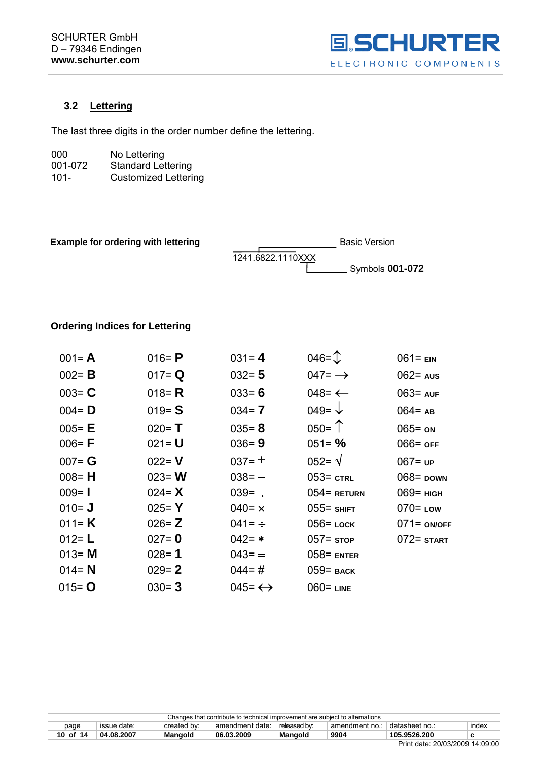

## <span id="page-9-0"></span>**3.2 Lettering**

The last three digits in the order number define the lettering.

| 000     | No Lettering                |
|---------|-----------------------------|
| 001-072 | <b>Standard Lettering</b>   |
| $101 -$ | <b>Customized Lettering</b> |

| <b>Example for ordering with lettering</b> |                   | <b>Basic Version</b>   |
|--------------------------------------------|-------------------|------------------------|
|                                            | 1241.6822.1110XXX |                        |
|                                            |                   | Symbols <b>001-072</b> |

## **Ordering Indices for Lettering**

| $001 = A$ | 016 = $P$ | $031 = 4$              | $046 = \mathcal{D}$ | $061 = EN$     |
|-----------|-----------|------------------------|---------------------|----------------|
| $002 = B$ | $017 = Q$ | $032 = 5$              | 047= $\rightarrow$  | $062$ aus      |
| $003 = C$ | 018 = $R$ | $033 = 6$              | 048= $\leftarrow$   | $063 = AUF$    |
| $004 = D$ | $019 = S$ | $034 = 7$              | 049= $\sqrt{}$      | $064 = AB$     |
| $005 = E$ | $020 = T$ | $035 = 8$              | $050 =$ $\uparrow$  | $065 = 0N$     |
| $006 = F$ | $021 = U$ | $036 = 9$              | $051 = \%$          | $066 =$ OFF    |
| $007 = G$ | $022 = V$ | $037 = +$              | $052 = \sqrt{ }$    | $067 = UP$     |
| $008 = H$ | $023 = W$ | $038 = -$              | $053$ = $CTRL$      | $068$ = DOWN   |
| $009 = 1$ | 024 = $X$ | $039 = .$              | $054$ = Return      | $069$ = $H$    |
| $010 = J$ | $025 = Y$ | $040 = x$              | $055$ = SHIFT       | $070 =$ Low    |
| 011= $K$  | $026 = Z$ | 041= $\div$            | $056$ = LOCK        | $071 =$ ON/OFF |
| $012 = L$ | $027 = 0$ | $042 = *$              | $057 =$ stop        | $072 =$ START  |
| $013 = M$ | $028 = 1$ | $043 =$                | $058$ = ENTER       |                |
| $014 = N$ | $029 = 2$ | $044 = #$              | $059$ = BACK        |                |
| $015 = 0$ | $030 = 3$ | 045= $\leftrightarrow$ | $060 =$ LINE        |                |

| Changes that contribute to technical improvement are subject to alternations |             |             |                 |              |                |                |       |
|------------------------------------------------------------------------------|-------------|-------------|-----------------|--------------|----------------|----------------|-------|
| page                                                                         | issue date: | created by: | amendment date: | released by: | amendment no.: | ⊥datasheet no∴ | index |
| 10 of 14                                                                     | 04.08.2007  | Mangold     | 06.03.2009      | Mangold      | 9904           | 105.9526.200   |       |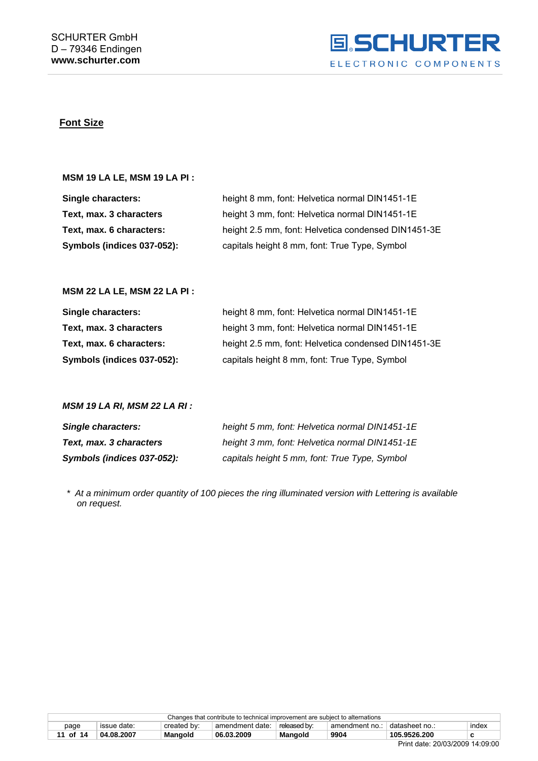

### **Font Size**

#### **MSM 19 LA LE, MSM 19 LA PI :**

| Single characters:         | height 8 mm, font: Helvetica normal DIN1451-1E      |
|----------------------------|-----------------------------------------------------|
| Text, max. 3 characters    | height 3 mm, font: Helvetica normal DIN1451-1E      |
| Text, max. 6 characters:   | height 2.5 mm, font: Helvetica condensed DIN1451-3E |
| Symbols (indices 037-052): | capitals height 8 mm, font: True Type, Symbol       |

## **MSM 22 LA LE, MSM 22 LA PI :**

| Single characters:         | height 8 mm, font: Helvetica normal DIN1451-1E      |
|----------------------------|-----------------------------------------------------|
| Text, max. 3 characters    | height 3 mm, font: Helvetica normal DIN1451-1E      |
| Text, max. 6 characters:   | height 2.5 mm, font: Helvetica condensed DIN1451-3E |
| Symbols (indices 037-052): | capitals height 8 mm, font: True Type, Symbol       |

#### *MSM 19 LA RI, MSM 22 LA RI :*

| <b>Single characters:</b>  | height 5 mm, font: Helvetica normal DIN1451-1E |
|----------------------------|------------------------------------------------|
| Text, max. 3 characters    | height 3 mm, font: Helvetica normal DIN1451-1E |
| Symbols (indices 037-052): | capitals height 5 mm, font: True Type, Symbol  |

 *\* At a minimum order quantity of 100 pieces the ring illuminated version with Lettering is available on request.* 

| Changes that contribute to technical improvement are subject to alternations              |                                                                                                           |  |  |  |  |  |  |
|-------------------------------------------------------------------------------------------|-----------------------------------------------------------------------------------------------------------|--|--|--|--|--|--|
| page                                                                                      | created by:<br>index<br>datasheet no.:<br>issue date:<br>released by:<br>amendment date:<br>amendment no. |  |  |  |  |  |  |
| 9904<br>105.9526.200<br>Mangold<br>04.08.2007<br>06.03.2009<br>11 of 14<br><b>Mangold</b> |                                                                                                           |  |  |  |  |  |  |
|                                                                                           | ----------------                                                                                          |  |  |  |  |  |  |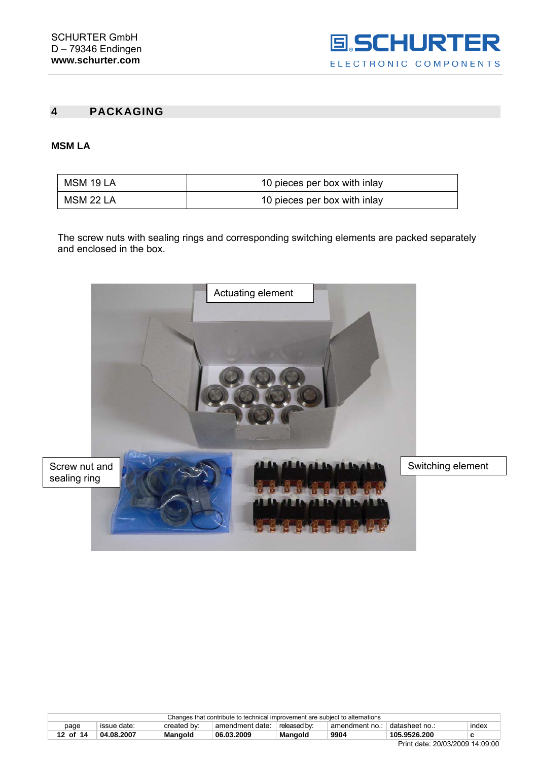

## <span id="page-11-0"></span>**4 PACKAGING**

## **MSM LA**

| MSM 19 LA | 10 pieces per box with inlay |
|-----------|------------------------------|
| MSM 22 LA | 10 pieces per box with inlay |

The screw nuts with sealing rings and corresponding switching elements are packed separately and enclosed in the box.



| Changes that contribute to technical improvement are subject to alternations       |                                                                                                          |  |  |  |  |  |  |
|------------------------------------------------------------------------------------|----------------------------------------------------------------------------------------------------------|--|--|--|--|--|--|
| page                                                                               | issue date:<br>released by:<br>+ datasheet no<br>index<br>created by:<br>amendment date:<br>amendment no |  |  |  |  |  |  |
| 9904<br>105.9526.200<br>Mangold<br>04.08.2007<br>06.03.2009<br>12 of 14<br>Mangold |                                                                                                          |  |  |  |  |  |  |
|                                                                                    | ----------------<br>_                                                                                    |  |  |  |  |  |  |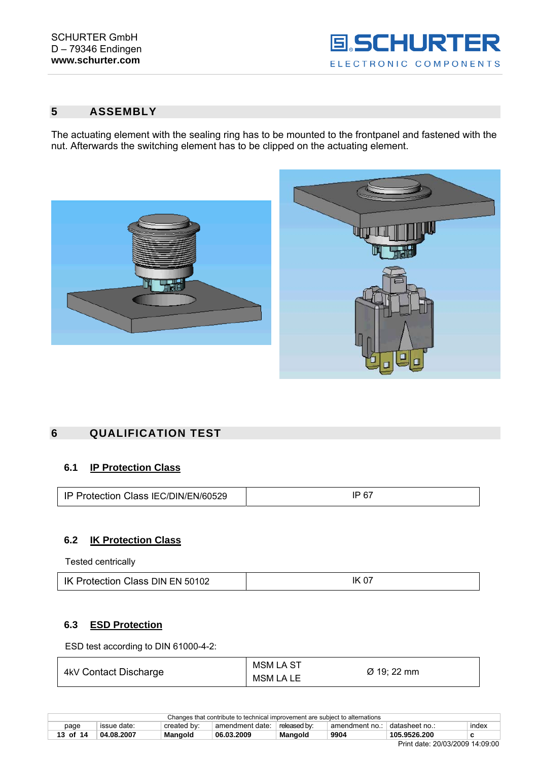

## <span id="page-12-0"></span>**5 ASSEMBLY**

The actuating element with the sealing ring has to be mounted to the frontpanel and fastened with the nut. Afterwards the switching element has to be clipped on the actuating element.



## **6 QUALIFICATION TEST**

## **6.1 IP Protection Class**

| IP Protection Class IEC/DIN/EN/60529 | 67<br>IP |
|--------------------------------------|----------|
|--------------------------------------|----------|

## **6.2 IK Protection Class**

Tested centrically

| IK Protection Class DIN EN 50102 | <b>IK 07</b> |
|----------------------------------|--------------|
|----------------------------------|--------------|

## **6.3 ESD Protection**

ESD test according to DIN 61000-4-2:

| 4kV Contact Discharge | <b>MSM LA ST</b> | Ø 19; 22 mm |
|-----------------------|------------------|-------------|
|                       | MSM LA LE        |             |

| Print date: 20/03/2009 14:09:00 |                                                                                                    |         |            |                |      |              |       |
|---------------------------------|----------------------------------------------------------------------------------------------------|---------|------------|----------------|------|--------------|-------|
| 13 of 14                        | 04.08.2007                                                                                         | Mangold | 06.03.2009 | <b>Mangold</b> | 9904 | 105.9526.200 |       |
| page                            | created by:<br>issue date:<br>released by:<br>⊤datasheet no.:<br>amendment date:<br>amendment no.: |         |            |                |      |              | index |
|                                 | Changes that contribute to technical improvement are subject to alternations                       |         |            |                |      |              |       |